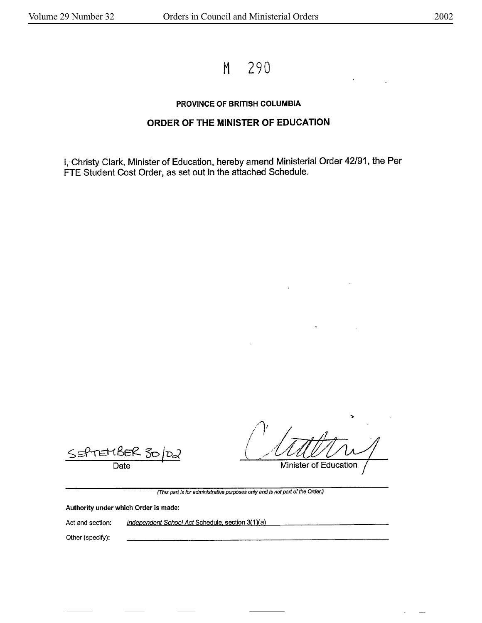M 290

## **PROVINCE OF BRITISH COLUMBIA**

## **ORDER OF THE M1NISTER OF EDUCATION**

!,-Christy Clark, Minister of Education, hereby amend Ministerial Order 42/91, the Per FTE Student Cost Order, as set out in the attached Schedule.

SEPTEMBEK 30 *JD2* Date

')

Minister of Education

(This part is for administrative purposes only and is not part of the Order.}

**Authority** under **which Order is made:** 

Act and section: Independent School Act Schedule, section 3(1)(a)

Other (specify):